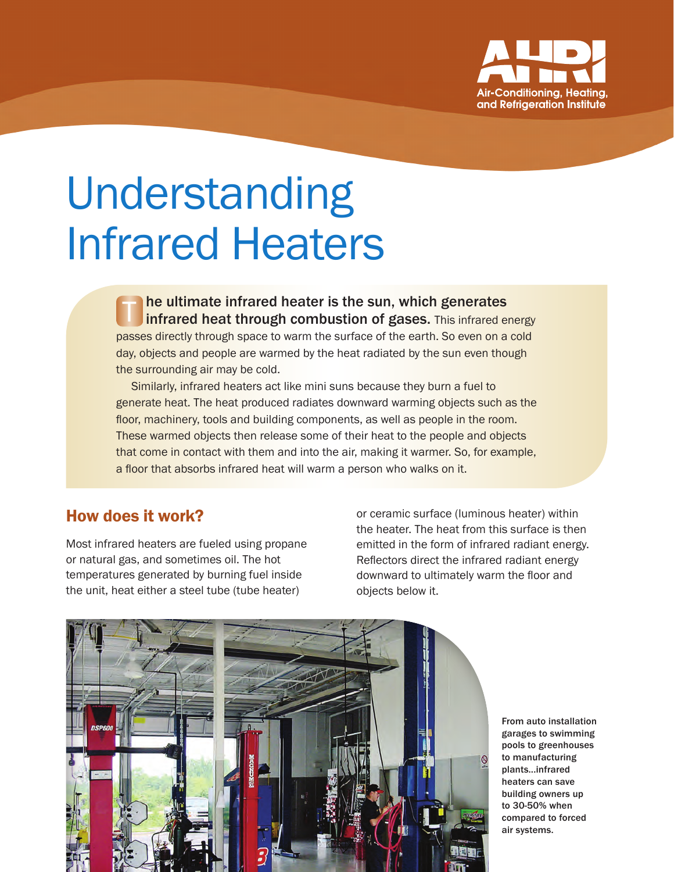

# Understanding Infrared Heaters

he ultimate infrared heater is the sun, which generates Infrared heat through combustion of gases. This infrared energy passes directly through space to warm the surface of the earth. So even on a cold day, objects and people are warmed by the heat radiated by the sun even though the surrounding air may be cold. T

Similarly, infrared heaters act like mini suns because they burn a fuel to generate heat. The heat produced radiates downward warming objects such as the floor, machinery, tools and building components, as well as people in the room. These warmed objects then release some of their heat to the people and objects that come in contact with them and into the air, making it warmer. So, for example, a floor that absorbs infrared heat will warm a person who walks on it.

#### How does it work?

Most infrared heaters are fueled using propane or natural gas, and sometimes oil. The hot temperatures generated by burning fuel inside the unit, heat either a steel tube (tube heater)

or ceramic surface (luminous heater) within the heater. The heat from this surface is then emitted in the form of infrared radiant energy. Reflectors direct the infrared radiant energy downward to ultimately warm the floor and objects below it.



From auto installation garages to swimming pools to greenhouses to manufacturing plants...infrared heaters can save building owners up to 30-50% when compared to forced air systems.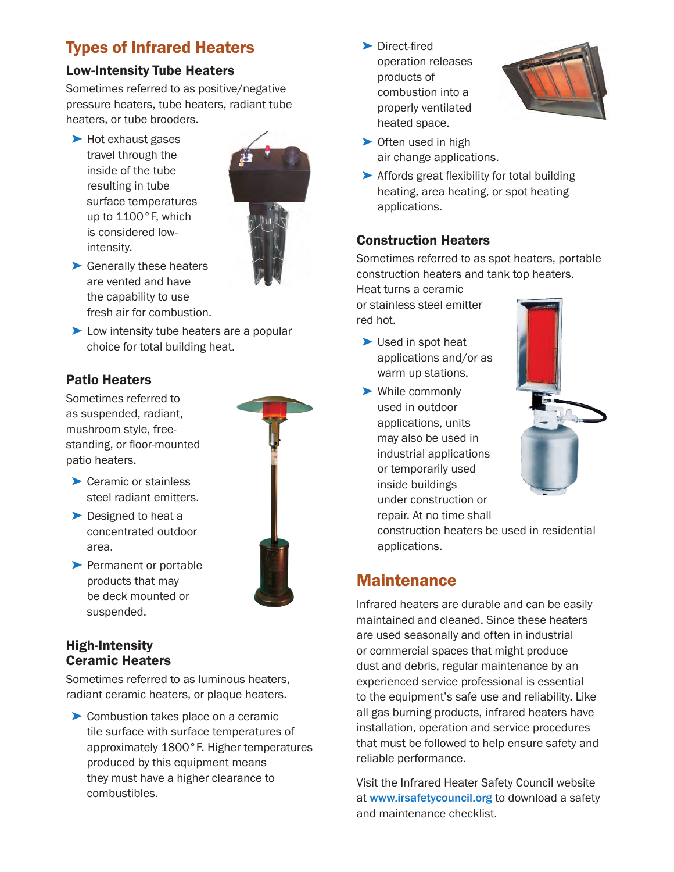# Types of Infrared Heaters

#### Low-Intensity Tube Heaters

Sometimes referred to as positive/negative pressure heaters, tube heaters, radiant tube heaters, or tube brooders.

➤ Hot exhaust gases travel through the inside of the tube resulting in tube surface temperatures up to 1100°F, which is considered lowintensity.



- ▶ Generally these heaters are vented and have the capability to use fresh air for combustion.
- ► Low intensity tube heaters are a popular choice for total building heat.

#### Patio Heaters

Sometimes referred to as suspended, radiant, mushroom style, freestanding, or floor-mounted patio heaters.

- ▶ Ceramic or stainless steel radiant emitters.
- ▶ Designed to heat a concentrated outdoor area.
- ▶ Permanent or portable products that may be deck mounted or suspended.



#### High-Intensity Ceramic Heaters

Sometimes referred to as luminous heaters, radiant ceramic heaters, or plaque heaters.

➤ Combustion takes place on a ceramic tile surface with surface temperatures of approximately 1800°F. Higher temperatures produced by this equipment means they must have a higher clearance to combustibles.

▶ Direct-fired operation releases products of combustion into a properly ventilated heated space.



- ▶ Often used in high air change applications.
- ➤ Affords great flexibility for total building heating, area heating, or spot heating applications.

#### Construction Heaters

Sometimes referred to as spot heaters, portable construction heaters and tank top heaters.

Heat turns a ceramic or stainless steel emitter red hot.

- ➤ Used in spot heat applications and/or as warm up stations.
- ➤ While commonly used in outdoor applications, units may also be used in industrial applications or temporarily used inside buildings under construction or repair. At no time shall



construction heaters be used in residential applications.

## **Maintenance**

Infrared heaters are durable and can be easily maintained and cleaned. Since these heaters are used seasonally and often in industrial or commercial spaces that might produce dust and debris, regular maintenance by an experienced service professional is essential to the equipment's safe use and reliability. Like all gas burning products, infrared heaters have installation, operation and service procedures that must be followed to help ensure safety and reliable performance.

Visit the Infrared Heater Safety Council website at www.irsafetycouncil.org to download a safety and maintenance checklist.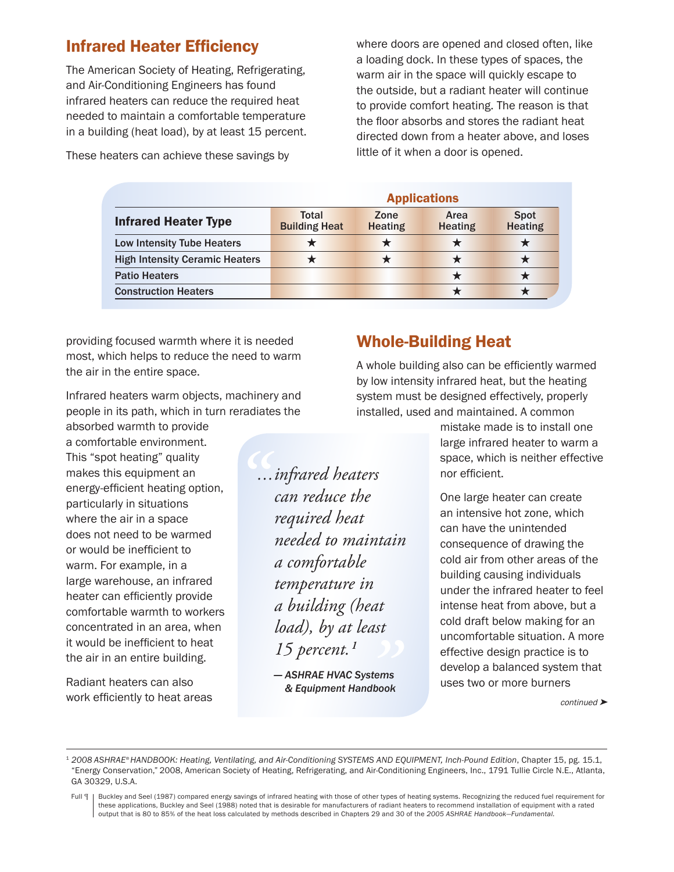### Infrared Heater Efficiency

The American Society of Heating, Refrigerating, and Air-Conditioning Engineers has found infrared heaters can reduce the required heat needed to maintain a comfortable temperature in a building (heat load), by at least 15 percent.

These heaters can achieve these savings by

where doors are opened and closed often, like a loading dock. In these types of spaces, the warm air in the space will quickly escape to the outside, but a radiant heater will continue to provide comfort heating. The reason is that the floor absorbs and stores the radiant heat directed down from a heater above, and loses little of it when a door is opened.

|                                       | <b>Applications</b>           |                        |                        |                               |
|---------------------------------------|-------------------------------|------------------------|------------------------|-------------------------------|
| <b>Infrared Heater Type</b>           | Total<br><b>Building Heat</b> | Zone<br><b>Heating</b> | Area<br><b>Heating</b> | <b>Spot</b><br><b>Heating</b> |
| Low Intensity Tube Heaters            |                               |                        |                        |                               |
| <b>High Intensity Ceramic Heaters</b> |                               |                        |                        |                               |
| <b>Patio Heaters</b>                  |                               |                        |                        |                               |
| <b>Construction Heaters</b>           |                               |                        |                        |                               |

providing focused warmth where it is needed most, which helps to reduce the need to warm the air in the entire space.

Infrared heaters warm objects, machinery and people in its path, which in turn reradiates the

*"*

absorbed warmth to provide a comfortable environment. This "spot heating" quality makes this equipment an energy-efficient heating option, particularly in situations where the air in a space does not need to be warmed or would be inefficient to warm. For example, in a large warehouse, an infrared heater can efficiently provide comfortable warmth to workers concentrated in an area, when it would be inefficient to heat the air in an entire building.

Radiant heaters can also work efficiently to heat areas *...infrared heaters can reduce the required heat needed to maintain a comfortable temperature in a building (heat load), by at least 15 percent.1*

*— ASHRAE HVAC Systems & Equipment Handbook* /<br>//stems<br>ndbook

## Whole-Building Heat

A whole building also can be efficiently warmed by low intensity infrared heat, but the heating system must be designed effectively, properly installed, used and maintained. A common

> mistake made is to install one large infrared heater to warm a space, which is neither effective nor efficient.

> One large heater can create an intensive hot zone, which can have the unintended consequence of drawing the cold air from other areas of the building causing individuals under the infrared heater to feel intense heat from above, but a cold draft below making for an uncomfortable situation. A more effective design practice is to develop a balanced system that uses two or more burners

> > continued ➤

<sup>&</sup>lt;sup>1</sup> 2008 ASHRAE® HANDBOOK: Heating, Ventilating, and Air-Conditioning SYSTEMS AND EQUIPMENT, Inch-Pound Edition, Chapter 15, pg. 15.1, "Energy Conservation," 2008, American Society of Heating, Refrigerating, and Air-Conditioning Engineers, Inc., 1791 Tullie Circle N.E., Atlanta, GA 30329, U.S.A.

Full [ | Buckley and Seel (1987) compared energy savings of infrared heating with those of other types of heating systems. Recognizing the reduced fuel requirement for these applications, Buckley and Seel (1988) noted that is desirable for manufacturers of radiant heaters to recommend installation of equipment with a rated output that is 80 to 85% of the heat loss calculated by methods described in Chapters 29 and 30 of the *2005 ASHRAE Handbook—Fundamental.*